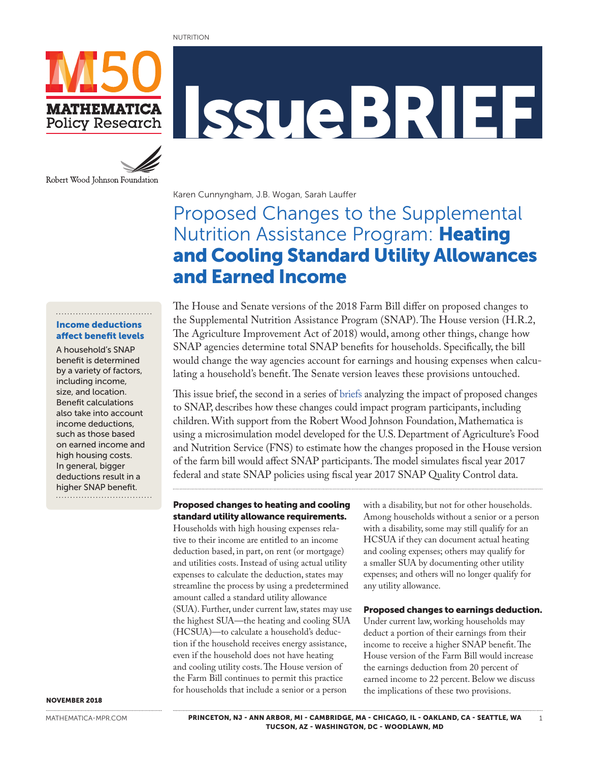#### NUTRITION



Robert Wood Johnson Foundation

# IssueBRIEF

Karen Cunnyngham, J.B. Wogan, Sarah Lauffer

## Proposed Changes to the Supplemental Nutrition Assistance Program: Heating and Cooling Standard Utility Allowances and Earned Income

## Income deductions

A household's SNAP benefit is determined by a variety of factors, including income, size, and location. Benefit calculations also take into account income deductions, such as those based on earned income and high housing costs. In general, bigger deductions result in a higher SNAP benefit.

## affect benefit levels

The House and Senate versions of the 2018 Farm Bill differ on proposed changes to the Supplemental Nutrition Assistance Program (SNAP). The House version (H.R.2, The Agriculture Improvement Act of 2018) would, among other things, change how SNAP agencies determine total SNAP benefits for households. Specifically, the bill would change the way agencies account for earnings and housing expenses when calculating a household's benefit. The Senate version leaves these provisions untouched.

This issue brief, the second in a series of [briefs](https://www.mathematica-mpr.com/news/millions-would-lose-snap-eligibility-under-provisions-of-house-farm-bill) analyzing the impact of proposed changes to SNAP, describes how these changes could impact program participants, including children. With support from the Robert Wood Johnson Foundation, Mathematica is using a microsimulation model developed for the U.S. Department of Agriculture's Food and Nutrition Service (FNS) to estimate how the changes proposed in the House version of the farm bill would affect SNAP participants. The model simulates fiscal year 2017 federal and state SNAP policies using fiscal year 2017 SNAP Quality Control data.

#### Proposed changes to heating and cooling standard utility allowance requirements.

Households with high housing expenses relative to their income are entitled to an income deduction based, in part, on rent (or mortgage) and utilities costs. Instead of using actual utility expenses to calculate the deduction, states may streamline the process by using a predetermined amount called a standard utility allowance (SUA). Further, under current law, states may use the highest SUA—the heating and cooling SUA (HCSUA)—to calculate a household's deduction if the household receives energy assistance, even if the household does not have heating and cooling utility costs. The House version of the Farm Bill continues to permit this practice for households that include a senior or a person

with a disability, but not for other households. Among households without a senior or a person with a disability, some may still qualify for an HCSUA if they can document actual heating and cooling expenses; others may qualify for a smaller SUA by documenting other utility expenses; and others will no longer qualify for any utility allowance.

#### Proposed changes to earnings deduction.

Under current law, working households may deduct a portion of their earnings from their income to receive a higher SNAP benefit. The House version of the Farm Bill would increase the earnings deduction from 20 percent of earned income to 22 percent. Below we discuss the implications of these two provisions.

NOVEMBER 2018

[MATHEMATICA-MPR.COM](http://mathematica-mpr.com/)

PRINCETON, NJ - ANN ARBOR, MI - CAMBRIDGE, MA - CHICAGO, IL - OAKLAND, CA - SEATTLE, WA 1 TUCSON, AZ - WASHINGTON, DC - WOODLAWN, MD